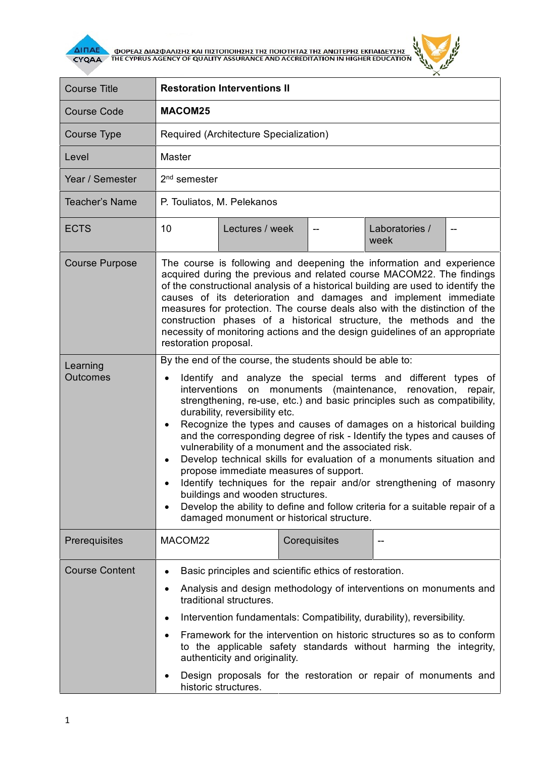

AI<mark>NAE A OOPEAS AIAS QUANSHE KAI NISTONOIHEHE THE NOIOTHTAE THE ANOTEPHE EKNAIAEYEHE A CYQAA A THE CYPRUS AGENCY OF QUALITY ASSURANCE AND ACCREDITATION IN HIGHER EDUCATION</mark>



| <b>Course Title</b>         | <b>Restoration Interventions II</b>                                                                                                                                                                                                                                                                                                                                                                                                                                                                                                                                                                                                                                                                                                                                                                                                                                                 |                 |  |              |                        |        |
|-----------------------------|-------------------------------------------------------------------------------------------------------------------------------------------------------------------------------------------------------------------------------------------------------------------------------------------------------------------------------------------------------------------------------------------------------------------------------------------------------------------------------------------------------------------------------------------------------------------------------------------------------------------------------------------------------------------------------------------------------------------------------------------------------------------------------------------------------------------------------------------------------------------------------------|-----------------|--|--------------|------------------------|--------|
| <b>Course Code</b>          | <b>MACOM25</b>                                                                                                                                                                                                                                                                                                                                                                                                                                                                                                                                                                                                                                                                                                                                                                                                                                                                      |                 |  |              |                        |        |
| <b>Course Type</b>          | Required (Architecture Specialization)                                                                                                                                                                                                                                                                                                                                                                                                                                                                                                                                                                                                                                                                                                                                                                                                                                              |                 |  |              |                        |        |
| Level                       | <b>Master</b>                                                                                                                                                                                                                                                                                                                                                                                                                                                                                                                                                                                                                                                                                                                                                                                                                                                                       |                 |  |              |                        |        |
| Year / Semester             | $2nd$ semester                                                                                                                                                                                                                                                                                                                                                                                                                                                                                                                                                                                                                                                                                                                                                                                                                                                                      |                 |  |              |                        |        |
| <b>Teacher's Name</b>       | P. Touliatos, M. Pelekanos                                                                                                                                                                                                                                                                                                                                                                                                                                                                                                                                                                                                                                                                                                                                                                                                                                                          |                 |  |              |                        |        |
| <b>ECTS</b>                 | 10                                                                                                                                                                                                                                                                                                                                                                                                                                                                                                                                                                                                                                                                                                                                                                                                                                                                                  | Lectures / week |  |              | Laboratories /<br>week | $\sim$ |
| <b>Course Purpose</b>       | The course is following and deepening the information and experience<br>acquired during the previous and related course MACOM22. The findings<br>of the constructional analysis of a historical building are used to identify the<br>causes of its deterioration and damages and implement immediate<br>measures for protection. The course deals also with the distinction of the<br>construction phases of a historical structure, the methods and the<br>necessity of monitoring actions and the design guidelines of an appropriate<br>restoration proposal.                                                                                                                                                                                                                                                                                                                    |                 |  |              |                        |        |
| Learning<br><b>Outcomes</b> | By the end of the course, the students should be able to:<br>Identify and analyze the special terms and different types of<br>on monuments (maintenance,<br>renovation,<br>interventions<br>repair,<br>strengthening, re-use, etc.) and basic principles such as compatibility,<br>durability, reversibility etc.<br>Recognize the types and causes of damages on a historical building<br>and the corresponding degree of risk - Identify the types and causes of<br>vulnerability of a monument and the associated risk.<br>Develop technical skills for evaluation of a monuments situation and<br>propose immediate measures of support.<br>Identify techniques for the repair and/or strengthening of masonry<br>buildings and wooden structures.<br>Develop the ability to define and follow criteria for a suitable repair of a<br>damaged monument or historical structure. |                 |  |              |                        |        |
| Prerequisites               | MACOM22                                                                                                                                                                                                                                                                                                                                                                                                                                                                                                                                                                                                                                                                                                                                                                                                                                                                             |                 |  | Corequisites |                        |        |
| <b>Course Content</b>       | Basic principles and scientific ethics of restoration.<br>Analysis and design methodology of interventions on monuments and<br>traditional structures.<br>Intervention fundamentals: Compatibility, durability), reversibility.<br>Framework for the intervention on historic structures so as to conform<br>to the applicable safety standards without harming the integrity,<br>authenticity and originality.<br>Design proposals for the restoration or repair of monuments and<br>historic structures.                                                                                                                                                                                                                                                                                                                                                                          |                 |  |              |                        |        |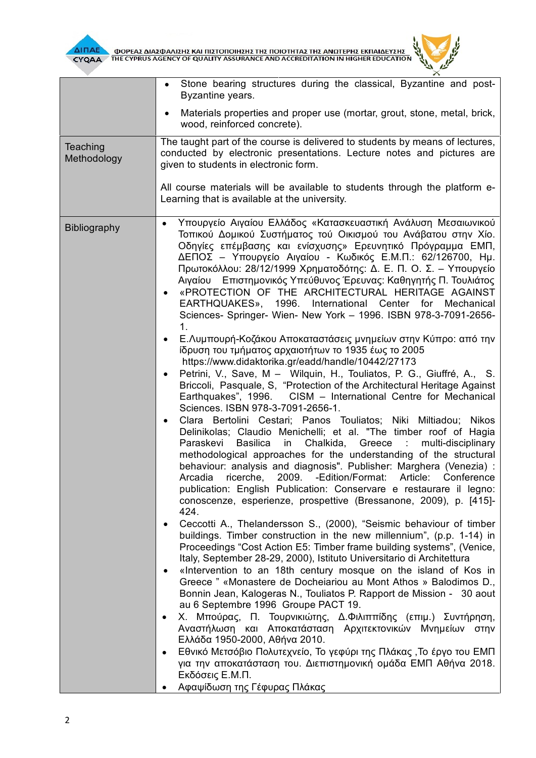



|                         | Stone bearing structures during the classical, Byzantine and post-<br>Byzantine years.                                                                                                                                                                                                                                                                                                                                                                                                                                                                                                                                                                                                                                                                                                                                                                                                                                                                                                                                                                                                                                                                                                                                                                                                                                                                                                                                                                                                                                                                                                                                                                                                                                                                                                                                                                                                                                                                                                                                                                                                                                                                                                                                                                                                                                                                                                                                                                                                                                                                                                |
|-------------------------|---------------------------------------------------------------------------------------------------------------------------------------------------------------------------------------------------------------------------------------------------------------------------------------------------------------------------------------------------------------------------------------------------------------------------------------------------------------------------------------------------------------------------------------------------------------------------------------------------------------------------------------------------------------------------------------------------------------------------------------------------------------------------------------------------------------------------------------------------------------------------------------------------------------------------------------------------------------------------------------------------------------------------------------------------------------------------------------------------------------------------------------------------------------------------------------------------------------------------------------------------------------------------------------------------------------------------------------------------------------------------------------------------------------------------------------------------------------------------------------------------------------------------------------------------------------------------------------------------------------------------------------------------------------------------------------------------------------------------------------------------------------------------------------------------------------------------------------------------------------------------------------------------------------------------------------------------------------------------------------------------------------------------------------------------------------------------------------------------------------------------------------------------------------------------------------------------------------------------------------------------------------------------------------------------------------------------------------------------------------------------------------------------------------------------------------------------------------------------------------------------------------------------------------------------------------------------------------|
|                         | Materials properties and proper use (mortar, grout, stone, metal, brick,<br>wood, reinforced concrete).                                                                                                                                                                                                                                                                                                                                                                                                                                                                                                                                                                                                                                                                                                                                                                                                                                                                                                                                                                                                                                                                                                                                                                                                                                                                                                                                                                                                                                                                                                                                                                                                                                                                                                                                                                                                                                                                                                                                                                                                                                                                                                                                                                                                                                                                                                                                                                                                                                                                               |
| Teaching<br>Methodology | The taught part of the course is delivered to students by means of lectures,<br>conducted by electronic presentations. Lecture notes and pictures are<br>given to students in electronic form.<br>All course materials will be available to students through the platform e-<br>Learning that is available at the university.                                                                                                                                                                                                                                                                                                                                                                                                                                                                                                                                                                                                                                                                                                                                                                                                                                                                                                                                                                                                                                                                                                                                                                                                                                                                                                                                                                                                                                                                                                                                                                                                                                                                                                                                                                                                                                                                                                                                                                                                                                                                                                                                                                                                                                                         |
| <b>Bibliography</b>     | Υπουργείο Αιγαίου Ελλάδος «Κατασκευαστική Ανάλυση Μεσαιωνικού<br>$\bullet$<br>Τοπικού Δομικού Συστήματος τού Οικισμού του Ανάβατου στην Χίο.<br>Οδηγίες επέμβασης και ενίσχυσης» Ερευνητικό Πρόγραμμα ΕΜΠ,<br>ΔΕΠΟΣ - Υπουργείο Αιγαίου - Κωδικός Ε.Μ.Π.: 62/126700, Ημ.<br>Πρωτοκόλλου: 28/12/1999 Χρηματοδότης: Δ. Ε. Π. Ο. Σ. - Υπουργείο<br>Αιγαίου Επιστημονικός Υπεύθυνος Έρευνας: Καθηγητής Π. Τουλιάτος<br>«PROTECTION OF THE ARCHITECTURAL HERITAGE AGAINST<br>EARTHQUAKES», 1996. International Center<br>for<br>Mechanical<br>Sciences- Springer- Wien- New York - 1996. ISBN 978-3-7091-2656-<br>1.<br>Ε.Λυμπουρή-Κοζάκου Αποκαταστάσεις μνημείων στην Κύπρο: από την<br>ίδρυση του τμήματος αρχαιοτήτων το 1935 έως το 2005<br>https://www.didaktorika.gr/eadd/handle/10442/27173<br>Petrini, V., Save, M - Wilquin, H., Touliatos, P. G., Giuffré, A., S.<br>Briccoli, Pasquale, S, "Protection of the Architectural Heritage Against<br>Earthquakes", 1996. CISM - International Centre for Mechanical<br>Sciences. ISBN 978-3-7091-2656-1.<br>Clara Bertolini Cestari; Panos Touliatos; Niki Miltiadou; Nikos<br>Delinikolas; Claudio Menichelli; et al. "The timber roof of Hagia<br><b>Basilica</b><br>in Chalkida, Greece :<br>Paraskevi<br>multi-disciplinary<br>methodological approaches for the understanding of the structural<br>behaviour: analysis and diagnosis". Publisher: Marghera (Venezia) :<br>ricerche, 2009. - Edition/Format: Article:<br>Arcadia<br>Conference<br>publication: English Publication: Conservare e restaurare il legno:<br>conoscenze, esperienze, prospettive (Bressanone, 2009), p. [415]-<br>424.<br>Ceccotti A., Thelandersson S., (2000), "Seismic behaviour of timber<br>buildings. Timber construction in the new millennium", (p.p. 1-14) in<br>Proceedings "Cost Action E5: Timber frame building systems", (Venice,<br>Italy, September 28-29, 2000), Istituto Universitario di Architettura<br>«Intervention to an 18th century mosque on the island of Kos in<br>Greece " «Monastere de Docheiariou au Mont Athos » Balodimos D.,<br>Bonnin Jean, Kalogeras N., Touliatos P. Rapport de Mission - 30 aout<br>au 6 Septembre 1996 Groupe PACT 19.<br>Χ. Μπούρας, Π. Τουρνικιώτης, Δ.Φιλιππίδης (επιμ.) Συντήρηση,<br>$\bullet$<br>Αναστήλωση και Αποκατάσταση Αρχιτεκτονικών Μνημείων στην<br>Ελλάδα 1950-2000, Αθήνα 2010.<br>Εθνικό Μετσόβιο Πολυτεχνείο, Το γεφύρι της Πλάκας, Το έργο του ΕΜΠ<br>για την αποκατάσταση του. Διεπιστημονική ομάδα ΕΜΠ Αθήνα 2018.<br>Εκδόσεις Ε.Μ.Π.<br>Αφαψίδωση της Γέφυρας Πλάκας |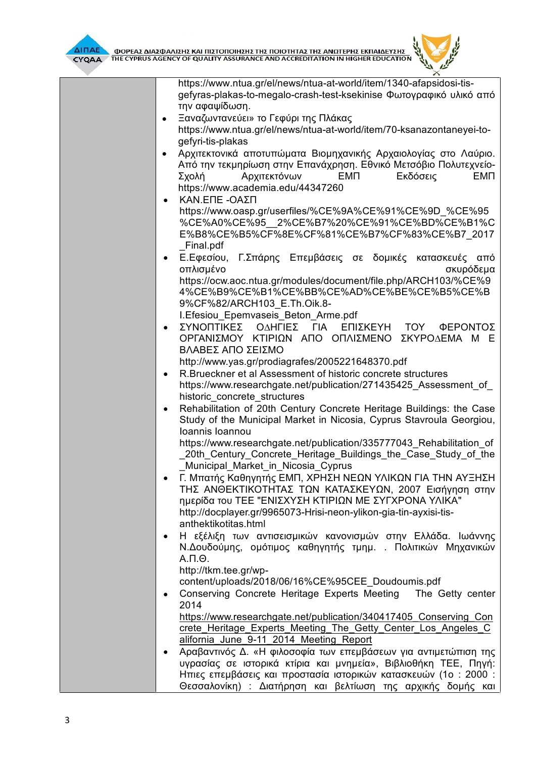

| https://www.ntua.gr/el/news/ntua-at-world/item/1340-afapsidosi-tis-                     |
|-----------------------------------------------------------------------------------------|
| gefyras-plakas-to-megalo-crash-test-ksekinise Φωτογραφικό υλικό από                     |
| την αφαψίδωση.                                                                          |
| Ξαναζωντανεύει» το Γεφύρι της Πλάκας                                                    |
| https://www.ntua.gr/el/news/ntua-at-world/item/70-ksanazontaneyei-to-                   |
| gefyri-tis-plakas                                                                       |
| Αρχιτεκτονικά αποτυπώματα Βιομηχανικής Αρχαιολογίας στο Λαύριο.<br>$\bullet$            |
| Από την τεκμηρίωση στην Επανάχρηση. Εθνικό Μετσόβιο Πολυτεχνείο-                        |
| <b>EMN</b><br>Αρχιτεκτόνων<br><b>EMN</b><br>Εκδόσεις<br>Σχολή                           |
| https://www.academia.edu/44347260                                                       |
| ΚΑΝ.ΕΠΕ -ΟΑΣΠ                                                                           |
| https://www.oasp.gr/userfiles/%CE%9A%CE%91%CE%9D %CE%95                                 |
| %CE%A0%CE%95 2%CE%B7%20%CE%91%CE%BD%CE%B1%C                                             |
| E%B8%CE%B5%CF%8E%CF%81%CE%B7%CF%83%CE%B7 2017                                           |
| Final.pdf<br>Ε.Εφεσίου, Γ.Σπάρης Επεμβάσεις σε δομικές κατασκευές από                   |
| οπλισμένο<br>σκυρόδεμα                                                                  |
| https://ocw.aoc.ntua.gr/modules/document/file.php/ARCH103/%CE%9                         |
| 4%CE%B9%CE%B1%CE%BB%CE%AD%CE%BE%CE%B5%CE%B                                              |
| 9%CF%82/ARCH103 E.Th.Oik.8-                                                             |
| I. Efesiou Epemvaseis Beton Arme.pdf                                                    |
| ΣΥΝΟΠΤΙΚΕΣ ΟΔΗΓΙΕΣ ΓΙΑ<br>ΕΠΙΣΚΕΥΗ ΤΟΥ ΦΕΡΟΝΤΟΣ<br>$\bullet$                            |
| ΟΡΓΑΝΙΣΜΟΥ ΚΤΙΡΙΩΝ ΑΠΟ ΟΠΛΙΣΜΕΝΟ<br>ΣΚΥΡΟΔΕΜΑ Μ Ε                                       |
| ΒΛΑΒΕΣ ΑΠΟ ΣΕΙΣΜΟ                                                                       |
| http://www.yas.gr/prodiagrafes/2005221648370.pdf                                        |
| R. Brueckner et al Assessment of historic concrete structures<br>$\bullet$              |
| https://www.researchgate.net/publication/271435425_Assessment_of_                       |
| historic concrete structures                                                            |
| Rehabilitation of 20th Century Concrete Heritage Buildings: the Case                    |
| Study of the Municipal Market in Nicosia, Cyprus Stavroula Georgiou,<br>Ioannis Ioannou |
| https://www.researchgate.net/publication/335777043 Rehabilitation of                    |
| 20th Century Concrete Heritage Buildings the Case Study of the                          |
| Municipal_Market_in_Nicosia_Cyprus                                                      |
| Γ. Μπατής Καθηγητής ΕΜΠ, ΧΡΗΣΗ ΝΕΩΝ ΥΛΙΚΩΝ ΓΙΑ ΤΗΝ ΑΥΞΗΣΗ                               |
| ΤΗΣ ΑΝΘΕΚΤΙΚΟΤΗΤΑΣ ΤΩΝ ΚΑΤΑΣΚΕΥΩΝ, 2007 Εισήγηση στην                                   |
| ημερίδα του ΤΕΕ "ΕΝΙΣΧΥΣΗ ΚΤΙΡΙΩΝ ΜΕ ΣΥΓΧΡΟΝΑ ΥΛΙΚΑ"                                    |
| http://docplayer.gr/9965073-Hrisi-neon-ylikon-gia-tin-ayxisi-tis-                       |
| anthektikotitas.html                                                                    |
| Η εξέλιξη των αντισεισμικών κανονισμών στην Ελλάδα. Ιωάννης<br>$\bullet$                |
| Ν.Δουδούμης, ομότιμος καθηγητής τμημ. . Πολιτικών Μηχανικών                             |
| $A.\Pi.\Theta.$                                                                         |
| http://tkm.tee.gr/wp-                                                                   |
| content/uploads/2018/06/16%CE%95CEE Doudoumis.pdf                                       |
| Conserving Concrete Heritage Experts Meeting The Getty center<br>٠<br>2014              |
| https://www.researchgate.net/publication/340417405 Conserving Con                       |
| crete Heritage Experts Meeting The Getty Center Los Angeles C                           |
| alifornia June 9-11 2014 Meeting Report                                                 |
| Αραβαντινός Δ. «Η φιλοσοφία των επεμβάσεων για αντιμετώπιση της                         |
| υγρασίας σε ιστορικά κτίρια και μνημεία», Βιβλιοθήκη ΤΕΕ, Πηγή:                         |
| Ηπιες επεμβάσεις και προστασία ιστορικών κατασκευών (1ο : 2000 :                        |
| Θεσσαλονίκη) : Διατήρηση και βελτίωση της αρχικής δομής και                             |